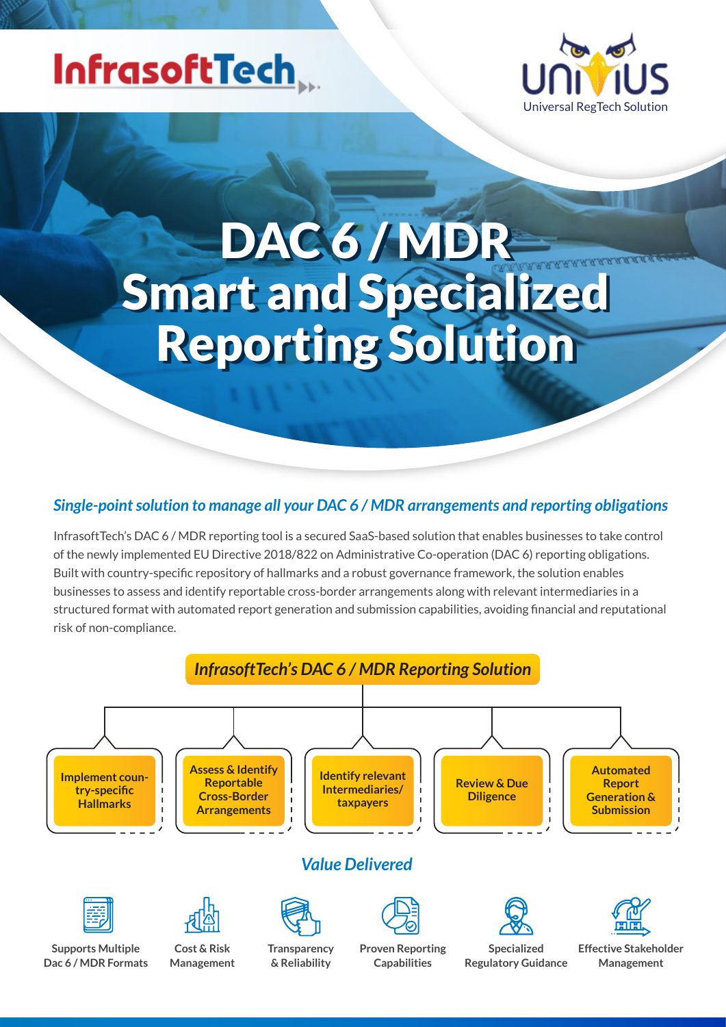## InfrasoftTech



# DAC 6 / MDR DAC 6 / MDR Smart and Specialized Smart and Specialized Reporting Solution Reporting Solution

#### *Single-point solution to manage all your DAC 6 / MDR arrangements and reporting obligations*

InfrasoftTech's DAC 6 / MDR reporting tool is a secured SaaS-based solution that enables businesses to take control of the newly implemented EU Directive 2018/822 on Administrative Co-operation (DAC 6) reporting obligations. Built with country-specific repository of hallmarks and a robust governance framework, the solution enables businesses to assess and identify reportable cross-border arrangements along with relevant intermediaries in a structured format with automated report generation and submission capabilities, avoiding financial and reputational risk of non-compliance.